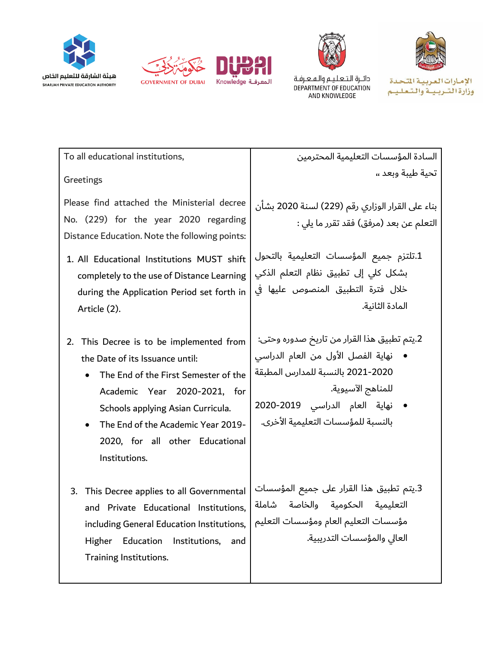



دائــرة الـتـعـلـيــم والـهــعـرفـة<br>DEPARTMENT OF EDUCATION AND KNOWLEDGE

الإمارات العربية التحدة وزارة التسربيبة والتعليم

| To all educational institutions,                                                                                                                                                                                                                                                                 | السادة المؤسسات التعليمية المحترمين                                                                                                                                                                                                    |
|--------------------------------------------------------------------------------------------------------------------------------------------------------------------------------------------------------------------------------------------------------------------------------------------------|----------------------------------------------------------------------------------------------------------------------------------------------------------------------------------------------------------------------------------------|
| Greetings                                                                                                                                                                                                                                                                                        | تحية طبية وبعد ٬٬                                                                                                                                                                                                                      |
| Please find attached the Ministerial decree<br>No. (229) for the year 2020 regarding<br>Distance Education. Note the following points:<br>1. All Educational Institutions MUST shift<br>completely to the use of Distance Learning<br>during the Application Period set forth in<br>Article (2). | بناء على القرار الوزاري رقم (229) لسنة 2020 بشأن<br>التعلم عن بعد (مرفق) فقد تقرر ما يلي :<br>1.تلتزم جميع المؤسسات التعليمية بالتحول<br>بشكل كلي إلى تطبيق نظام التعلم الذكي<br>خلال فترة التطبيق المنصوص عليها في<br>المادة الثانية. |
| This Decree is to be implemented from<br>2.<br>the Date of its Issuance until:<br>The End of the First Semester of the<br>Academic Year 2020-2021, for<br>Schools applying Asian Curricula.<br>The End of the Academic Year 2019-<br>2020, for all other Educational<br>Institutions.            | 2.يتم تطبيق هذا القرار من تاريخ صدوره وحتى:<br>نهاية الفصل الأول من العام الدراسي<br>2020-2021 بالنسبة للمدارس المطبقة<br>للمناهج الآسيوية.<br>• نهاية العام الدراسي 2019-2020<br>بالنسبة للمؤسسات التعليمية الأخرى.                   |
| This Decree applies to all Governmental<br>3.<br>and Private Educational Institutions,<br>including General Education Institutions,<br>Education<br>Higher<br>Institutions,<br>and<br>Training Institutions.                                                                                     | 3.يتم تطبيق هذا القرار على جميع المؤسسات<br>التعليمية الحكومية والخاصة شاملة<br>مؤسسات التعليم العام ومؤسسات التعليم<br>العالى والمؤسسات التدريبية.                                                                                    |